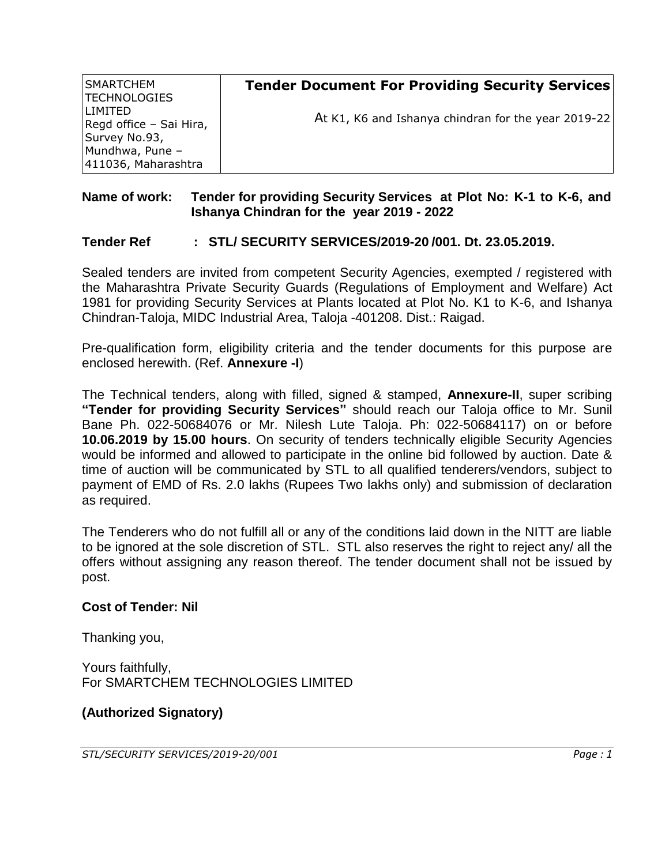| SMARTCHEM<br> TECHNOLOGIES                          | <b>Tender Document For Providing Security Services</b> |
|-----------------------------------------------------|--------------------------------------------------------|
| LIMITED<br>Regd office - Sai Hira,<br>Survey No.93, | At K1, K6 and Ishanya chindran for the year 2019-22    |
| Mundhwa, Pune -<br>411036, Maharashtra              |                                                        |

## **Name of work: Tender for providing Security Services at Plot No: K-1 to K-6, and Ishanya Chindran for the year 2019 - 2022**

#### **Tender Ref : STL/ SECURITY SERVICES/2019-20 /001. Dt. 23.05.2019.**

Sealed tenders are invited from competent Security Agencies, exempted / registered with the Maharashtra Private Security Guards (Regulations of Employment and Welfare) Act 1981 for providing Security Services at Plants located at Plot No. K1 to K-6, and Ishanya Chindran-Taloja, MIDC Industrial Area, Taloja -401208. Dist.: Raigad.

Pre-qualification form, eligibility criteria and the tender documents for this purpose are enclosed herewith. (Ref. **Annexure -I**)

The Technical tenders, along with filled, signed & stamped, **Annexure-II**, super scribing **"Tender for providing Security Services"** should reach our Taloja office to Mr. Sunil Bane Ph. 022-50684076 or Mr. Nilesh Lute Taloja. Ph: 022-50684117) on or before **10.06.2019 by 15.00 hours**. On security of tenders technically eligible Security Agencies would be informed and allowed to participate in the online bid followed by auction. Date & time of auction will be communicated by STL to all qualified tenderers/vendors, subject to payment of EMD of Rs. 2.0 lakhs (Rupees Two lakhs only) and submission of declaration as required.

The Tenderers who do not fulfill all or any of the conditions laid down in the NITT are liable to be ignored at the sole discretion of STL. STL also reserves the right to reject any/ all the offers without assigning any reason thereof. The tender document shall not be issued by post.

#### **Cost of Tender: Nil**

Thanking you,

Yours faithfully, For SMARTCHEM TECHNOLOGIES LIMITED

#### **(Authorized Signatory)**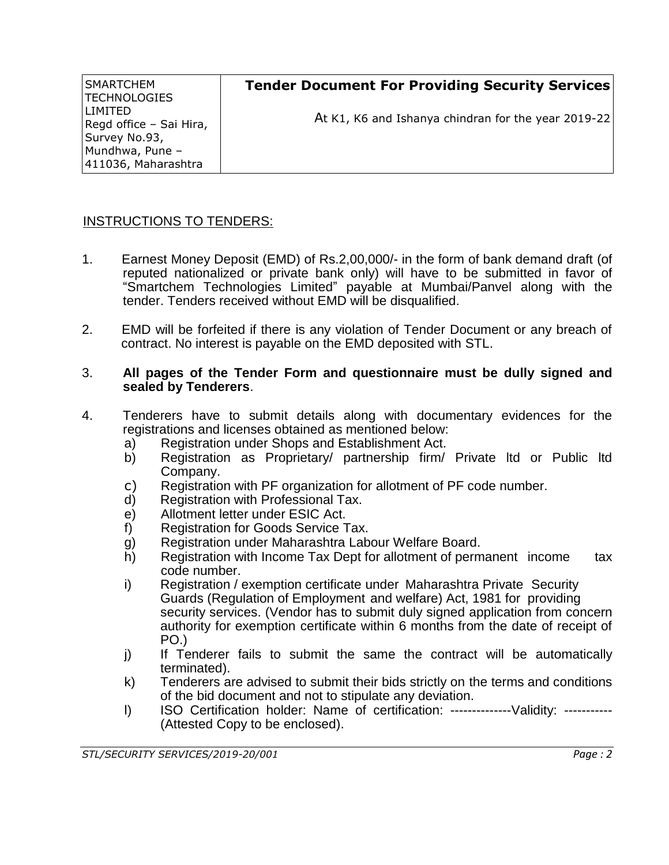| SMARTCHEM<br> TECHNOLOGIES               | <b>Tender Document For Providing Security Services</b> |
|------------------------------------------|--------------------------------------------------------|
| LIMITED                                  | At K1, K6 and Ishanya chindran for the year 2019-22    |
| Regd office - Sai Hira,<br>Survey No.93, |                                                        |
| Mundhwa, Pune -                          |                                                        |
| 411036, Maharashtra                      |                                                        |

#### INSTRUCTIONS TO TENDERS:

- 1. Earnest Money Deposit (EMD) of Rs.2,00,000/- in the form of bank demand draft (of reputed nationalized or private bank only) will have to be submitted in favor of "Smartchem Technologies Limited" payable at Mumbai/Panvel along with the tender. Tenders received without EMD will be disqualified.
- 2. EMD will be forfeited if there is any violation of Tender Document or any breach of contract. No interest is payable on the EMD deposited with STL.

#### 3. **All pages of the Tender Form and questionnaire must be dully signed and sealed by Tenderers**.

- 4. Tenderers have to submit details along with documentary evidences for the registrations and licenses obtained as mentioned below:
	- a) Registration under Shops and Establishment Act.
	- b) Registration as Proprietary/ partnership firm/ Private ltd or Public ltd Company.
	- c) Registration with PF organization for allotment of PF code number.
	- d) Registration with Professional Tax.
	- e) Allotment letter under ESIC Act.
	- f) Registration for Goods Service Tax.
	- g) Registration under Maharashtra Labour Welfare Board.
	- h) Registration with Income Tax Dept for allotment of permanent income tax code number.
	- i) Registration / exemption certificate under Maharashtra Private Security Guards (Regulation of Employment and welfare) Act, 1981 for providing security services. (Vendor has to submit duly signed application from concern authority for exemption certificate within 6 months from the date of receipt of PO.)
	- j) If Tenderer fails to submit the same the contract will be automatically terminated).
	- k) Tenderers are advised to submit their bids strictly on the terms and conditions of the bid document and not to stipulate any deviation.
	- l) ISO Certification holder: Name of certification: --------------Validity: -----------(Attested Copy to be enclosed).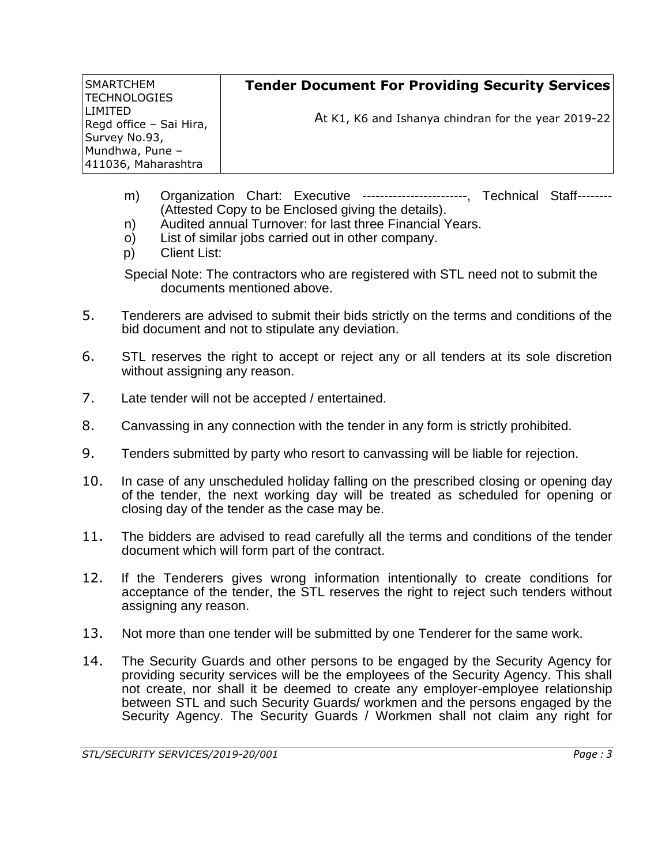| SMARTCHEM<br> TECHNOLOGIES                | <b>Tender Document For Providing Security Services</b> |
|-------------------------------------------|--------------------------------------------------------|
| <b>LIMITED</b><br>Regd office - Sai Hira, | At K1, K6 and Ishanya chindran for the year 2019-22    |
| Survey No.93,                             |                                                        |
| Mundhwa, Pune -                           |                                                        |
| 411036, Maharashtra                       |                                                        |

- m) Organization Chart: Executive ------------------------, Technical Staff-------- (Attested Copy to be Enclosed giving the details).
- n) Audited annual Turnover: for last three Financial Years.
- o) List of similar jobs carried out in other company.
- p) Client List:

Special Note: The contractors who are registered with STL need not to submit the documents mentioned above.

- 5. Tenderers are advised to submit their bids strictly on the terms and conditions of the bid document and not to stipulate any deviation.
- 6. STL reserves the right to accept or reject any or all tenders at its sole discretion without assigning any reason.
- 7. Late tender will not be accepted / entertained.
- 8. Canvassing in any connection with the tender in any form is strictly prohibited.
- 9. Tenders submitted by party who resort to canvassing will be liable for rejection.
- 10. In case of any unscheduled holiday falling on the prescribed closing or opening day of the tender, the next working day will be treated as scheduled for opening or closing day of the tender as the case may be.
- 11. The bidders are advised to read carefully all the terms and conditions of the tender document which will form part of the contract.
- 12. If the Tenderers gives wrong information intentionally to create conditions for acceptance of the tender, the STL reserves the right to reject such tenders without assigning any reason.
- 13. Not more than one tender will be submitted by one Tenderer for the same work.
- 14. The Security Guards and other persons to be engaged by the Security Agency for providing security services will be the employees of the Security Agency. This shall not create, nor shall it be deemed to create any employer-employee relationship between STL and such Security Guards/ workmen and the persons engaged by the Security Agency. The Security Guards / Workmen shall not claim any right for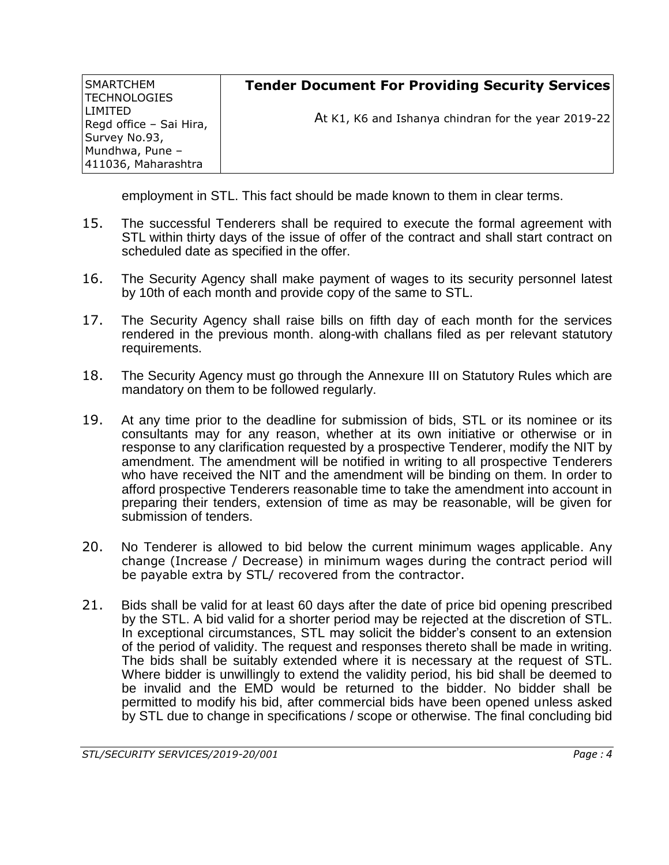| SMARTCHEM<br> TECHNOLOGIES                | <b>Tender Document For Providing Security Services</b> |
|-------------------------------------------|--------------------------------------------------------|
| <b>LIMITED</b><br>Regd office - Sai Hira, | At K1, K6 and Ishanya chindran for the year 2019-22    |
| Survey No.93,                             |                                                        |
| Mundhwa, Pune -                           |                                                        |
| 411036, Maharashtra                       |                                                        |

employment in STL. This fact should be made known to them in clear terms.

- 15. The successful Tenderers shall be required to execute the formal agreement with STL within thirty days of the issue of offer of the contract and shall start contract on scheduled date as specified in the offer.
- 16. The Security Agency shall make payment of wages to its security personnel latest by 10th of each month and provide copy of the same to STL.
- 17. The Security Agency shall raise bills on fifth day of each month for the services rendered in the previous month. along-with challans filed as per relevant statutory requirements.
- 18. The Security Agency must go through the Annexure III on Statutory Rules which are mandatory on them to be followed regularly.
- 19. At any time prior to the deadline for submission of bids, STL or its nominee or its consultants may for any reason, whether at its own initiative or otherwise or in response to any clarification requested by a prospective Tenderer, modify the NIT by amendment. The amendment will be notified in writing to all prospective Tenderers who have received the NIT and the amendment will be binding on them. In order to afford prospective Tenderers reasonable time to take the amendment into account in preparing their tenders, extension of time as may be reasonable, will be given for submission of tenders.
- 20. No Tenderer is allowed to bid below the current minimum wages applicable. Any change (Increase / Decrease) in minimum wages during the contract period will be payable extra by STL/ recovered from the contractor.
- 21. Bids shall be valid for at least 60 days after the date of price bid opening prescribed by the STL. A bid valid for a shorter period may be rejected at the discretion of STL. In exceptional circumstances, STL may solicit the bidder's consent to an extension of the period of validity. The request and responses thereto shall be made in writing. The bids shall be suitably extended where it is necessary at the request of STL. Where bidder is unwillingly to extend the validity period, his bid shall be deemed to be invalid and the EMD would be returned to the bidder. No bidder shall be permitted to modify his bid, after commercial bids have been opened unless asked by STL due to change in specifications / scope or otherwise. The final concluding bid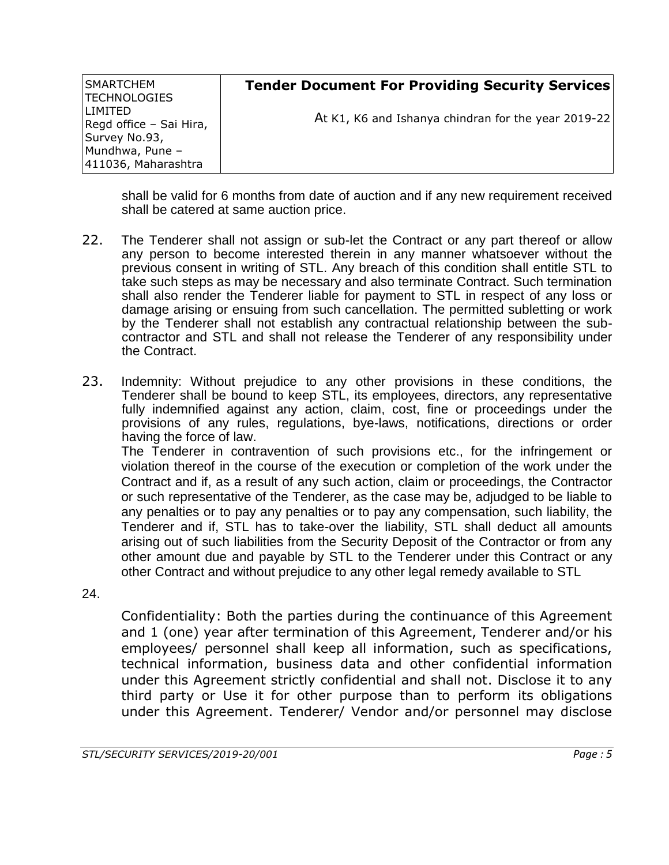| SMARTCHEM<br><b>TECHNOLOGIES</b>          | <b>Tender Document For Providing Security Services</b> |
|-------------------------------------------|--------------------------------------------------------|
| <b>LIMITED</b><br>Regd office - Sai Hira, | At K1, K6 and Ishanya chindran for the year 2019-22    |
| Survey No.93,<br>Mundhwa, Pune -          |                                                        |
| 411036, Maharashtra                       |                                                        |

shall be valid for 6 months from date of auction and if any new requirement received shall be catered at same auction price.

- 22. The Tenderer shall not assign or sub-let the Contract or any part thereof or allow any person to become interested therein in any manner whatsoever without the previous consent in writing of STL. Any breach of this condition shall entitle STL to take such steps as may be necessary and also terminate Contract. Such termination shall also render the Tenderer liable for payment to STL in respect of any loss or damage arising or ensuing from such cancellation. The permitted subletting or work by the Tenderer shall not establish any contractual relationship between the subcontractor and STL and shall not release the Tenderer of any responsibility under the Contract.
- 23. Indemnity: Without prejudice to any other provisions in these conditions, the Tenderer shall be bound to keep STL, its employees, directors, any representative fully indemnified against any action, claim, cost, fine or proceedings under the provisions of any rules, regulations, bye-laws, notifications, directions or order having the force of law.

The Tenderer in contravention of such provisions etc., for the infringement or violation thereof in the course of the execution or completion of the work under the Contract and if, as a result of any such action, claim or proceedings, the Contractor or such representative of the Tenderer, as the case may be, adjudged to be liable to any penalties or to pay any penalties or to pay any compensation, such liability, the Tenderer and if, STL has to take-over the liability, STL shall deduct all amounts arising out of such liabilities from the Security Deposit of the Contractor or from any other amount due and payable by STL to the Tenderer under this Contract or any other Contract and without prejudice to any other legal remedy available to STL

24.

Confidentiality: Both the parties during the continuance of this Agreement and 1 (one) year after termination of this Agreement, Tenderer and/or his employees/ personnel shall keep all information, such as specifications, technical information, business data and other confidential information under this Agreement strictly confidential and shall not. Disclose it to any third party or Use it for other purpose than to perform its obligations under this Agreement. Tenderer/ Vendor and/or personnel may disclose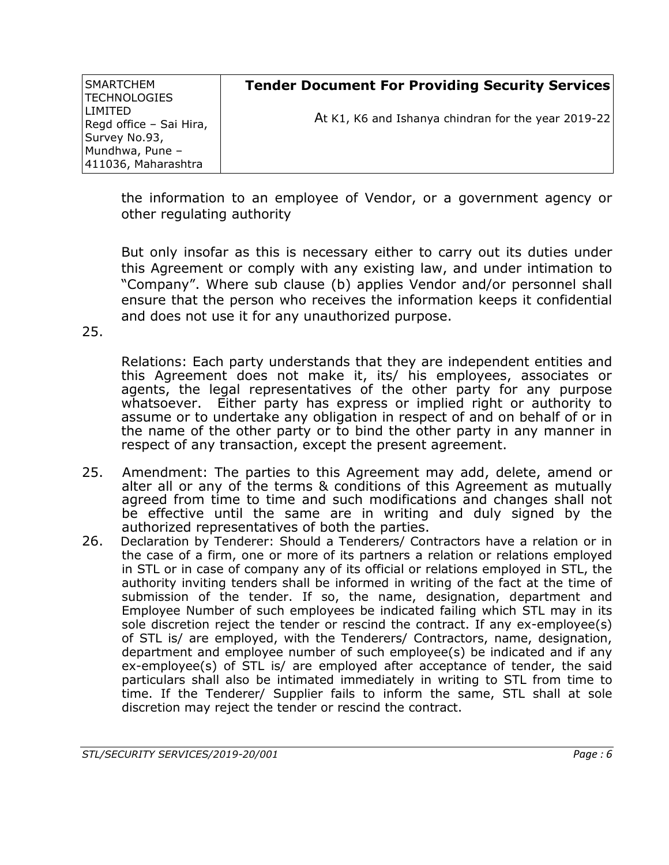| SMARTCHEM<br> TECHNOLOGIES                           | <b>Tender Document For Providing Security Services</b> |
|------------------------------------------------------|--------------------------------------------------------|
| LIMITED.<br>Regd office - Sai Hira,<br>Survey No.93, | At K1, K6 and Ishanya chindran for the year 2019-22    |
| Mundhwa, Pune -<br>411036, Maharashtra               |                                                        |

the information to an employee of Vendor, or a government agency or other regulating authority

But only insofar as this is necessary either to carry out its duties under this Agreement or comply with any existing law, and under intimation to "Company". Where sub clause (b) applies Vendor and/or personnel shall ensure that the person who receives the information keeps it confidential and does not use it for any unauthorized purpose.

25.

Relations: Each party understands that they are independent entities and this Agreement does not make it, its/ his employees, associates or agents, the legal representatives of the other party for any purpose whatsoever. Either party has express or implied right or authority to assume or to undertake any obligation in respect of and on behalf of or in the name of the other party or to bind the other party in any manner in respect of any transaction, except the present agreement.

- 25. Amendment: The parties to this Agreement may add, delete, amend or alter all or any of the terms & conditions of this Agreement as mutually agreed from time to time and such modifications and changes shall not be effective until the same are in writing and duly signed by the authorized representatives of both the parties.
- 26. Declaration by Tenderer: Should a Tenderers/ Contractors have a relation or in the case of a firm, one or more of its partners a relation or relations employed in STL or in case of company any of its official or relations employed in STL, the authority inviting tenders shall be informed in writing of the fact at the time of submission of the tender. If so, the name, designation, department and Employee Number of such employees be indicated failing which STL may in its sole discretion reject the tender or rescind the contract. If any ex-employee(s) of STL is/ are employed, with the Tenderers/ Contractors, name, designation, department and employee number of such employee(s) be indicated and if any ex-employee(s) of STL is/ are employed after acceptance of tender, the said particulars shall also be intimated immediately in writing to STL from time to time. If the Tenderer/ Supplier fails to inform the same, STL shall at sole discretion may reject the tender or rescind the contract.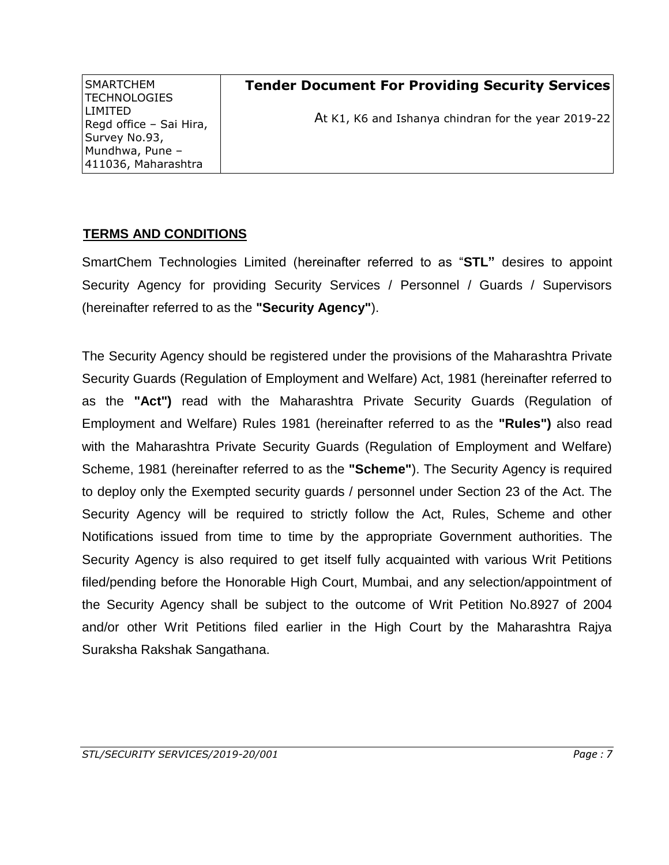| <b>SMARTCHEM</b><br><b>TECHNOLOGIES</b> | <b>Tender Document For Providing Security Services</b> |
|-----------------------------------------|--------------------------------------------------------|
| LIMITED<br>Regd office - Sai Hira,      | At K1, K6 and Ishanya chindran for the year 2019-22    |
| Survey No.93,                           |                                                        |
| Mundhwa, Pune -                         |                                                        |
| 411036, Maharashtra                     |                                                        |

## **TERMS AND CONDITIONS**

SmartChem Technologies Limited (hereinafter referred to as "**STL"** desires to appoint Security Agency for providing Security Services / Personnel / Guards / Supervisors (hereinafter referred to as the **"Security Agency"**).

The Security Agency should be registered under the provisions of the Maharashtra Private Security Guards (Regulation of Employment and Welfare) Act, 1981 (hereinafter referred to as the **"Act")** read with the Maharashtra Private Security Guards (Regulation of Employment and Welfare) Rules 1981 (hereinafter referred to as the **"Rules")** also read with the Maharashtra Private Security Guards (Regulation of Employment and Welfare) Scheme, 1981 (hereinafter referred to as the **"Scheme"**). The Security Agency is required to deploy only the Exempted security guards / personnel under Section 23 of the Act. The Security Agency will be required to strictly follow the Act, Rules, Scheme and other Notifications issued from time to time by the appropriate Government authorities. The Security Agency is also required to get itself fully acquainted with various Writ Petitions filed/pending before the Honorable High Court, Mumbai, and any selection/appointment of the Security Agency shall be subject to the outcome of Writ Petition No.8927 of 2004 and/or other Writ Petitions filed earlier in the High Court by the Maharashtra Rajya Suraksha Rakshak Sangathana.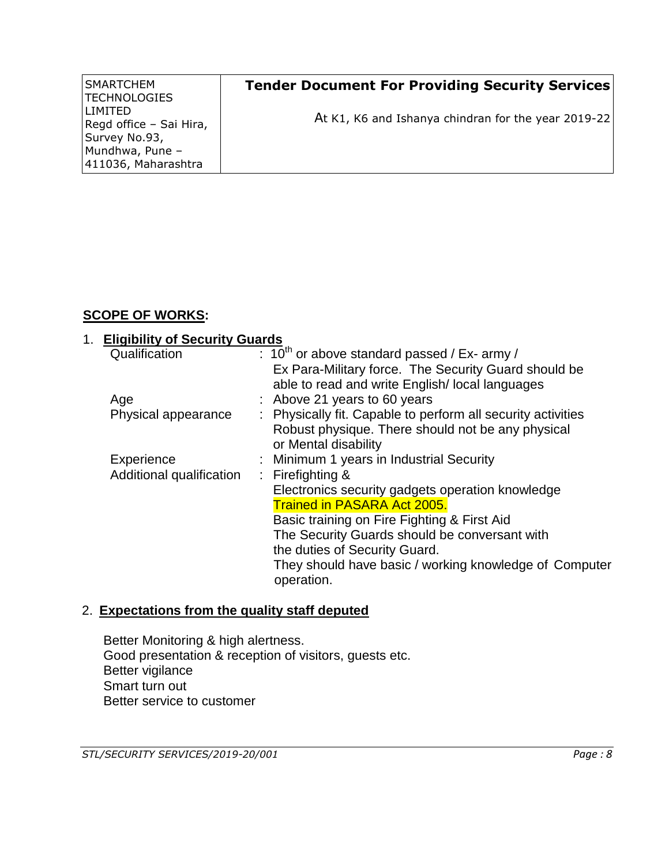| <b>SMARTCHEM</b><br> TECHNOLOGIES                      | <b>Tender Document For Providing Security Services</b> |
|--------------------------------------------------------|--------------------------------------------------------|
| I I IMITED<br>Regd office - Sai Hira,<br>Survey No.93, | At K1, K6 and Ishanya chindran for the year 2019-22    |
| Mundhwa, Pune -<br>411036, Maharashtra                 |                                                        |

# **SCOPE OF WORKS:**

#### 1. **Eligibility of Security Guards** Qualification <sup>th</sup> or above standard passed / Ex- army / Ex Para-Military force. The Security Guard should be able to read and write English/ local languages Age : Above 21 years to 60 years Physical appearance : Physically fit. Capable to perform all security activities Robust physique. There should not be any physical or Mental disability Experience : Minimum 1 years in Industrial Security Additional qualification : Firefighting & Electronics security gadgets operation knowledge Trained in PASARA Act 2005. Basic training on Fire Fighting & First Aid The Security Guards should be conversant with the duties of Security Guard. They should have basic / working knowledge of Computer operation.

## 2. **Expectations from the quality staff deputed**

Better Monitoring & high alertness. Good presentation & reception of visitors, guests etc. Better vigilance Smart turn out Better service to customer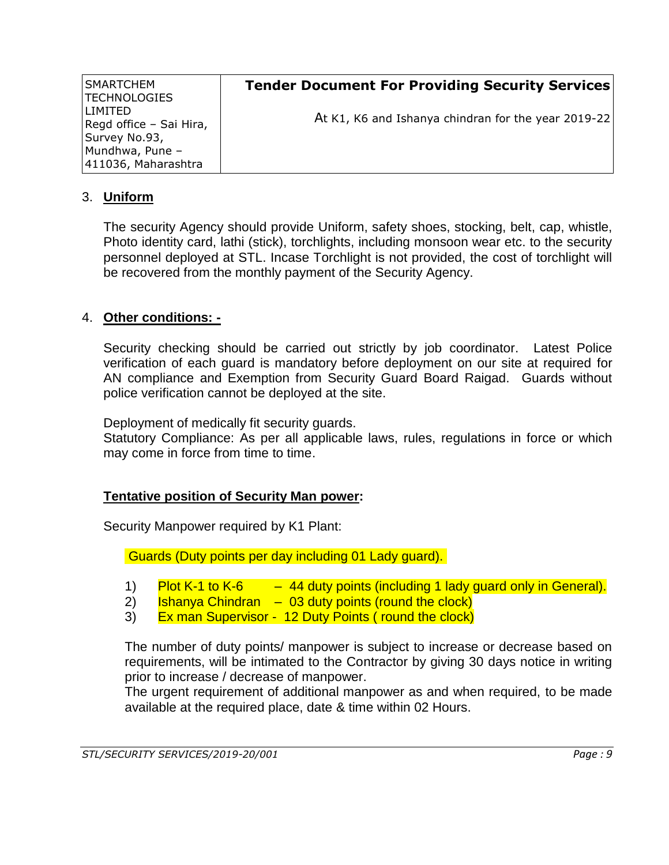| SMARTCHEM<br> TECHNOLOGIES                | <b>Tender Document For Providing Security Services</b> |
|-------------------------------------------|--------------------------------------------------------|
| <b>LIMITED</b><br>Regd office - Sai Hira, | At K1, K6 and Ishanya chindran for the year 2019-22    |
| Survey No.93,                             |                                                        |
| Mundhwa, Pune -                           |                                                        |
| 411036, Maharashtra                       |                                                        |

#### 3. **Uniform**

The security Agency should provide Uniform, safety shoes, stocking, belt, cap, whistle, Photo identity card, lathi (stick), torchlights, including monsoon wear etc. to the security personnel deployed at STL. Incase Torchlight is not provided, the cost of torchlight will be recovered from the monthly payment of the Security Agency.

#### 4. **Other conditions: -**

Security checking should be carried out strictly by job coordinator. Latest Police verification of each guard is mandatory before deployment on our site at required for AN compliance and Exemption from Security Guard Board Raigad. Guards without police verification cannot be deployed at the site.

Deployment of medically fit security guards.

Statutory Compliance: As per all applicable laws, rules, regulations in force or which may come in force from time to time.

#### **Tentative position of Security Man power:**

Security Manpower required by K1 Plant:

Guards (Duty points per day including 01 Lady guard).

- 1) Plot K-1 to K-6  $-44$  duty points (including 1 lady guard only in General).
- 2) Ishanya Chindran  $-$  03 duty points (round the clock)
- 3) Ex man Supervisor 12 Duty Points (round the clock)

The number of duty points/ manpower is subject to increase or decrease based on requirements, will be intimated to the Contractor by giving 30 days notice in writing prior to increase / decrease of manpower.

The urgent requirement of additional manpower as and when required, to be made available at the required place, date & time within 02 Hours.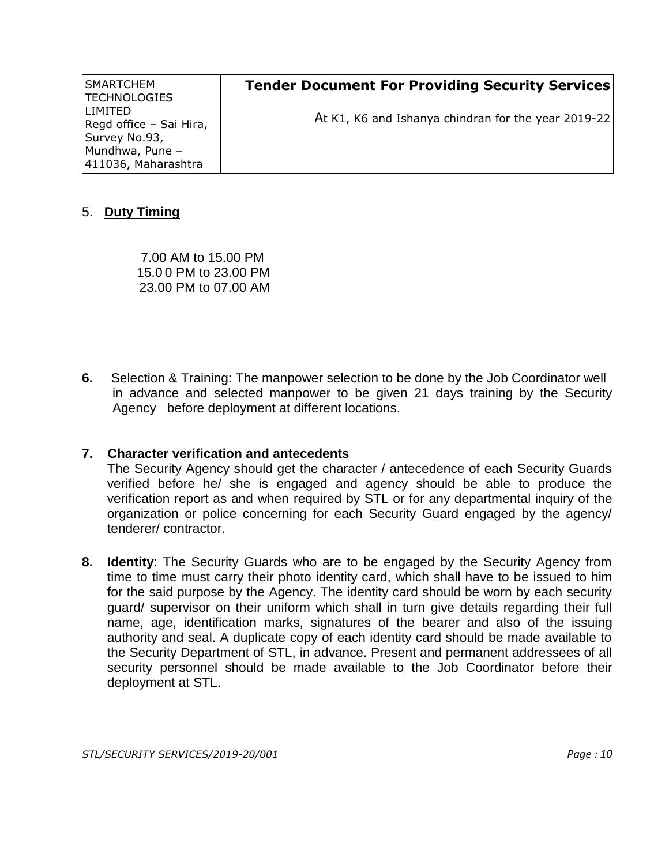| SMARTCHEM<br> TECHNOLOGIES           | <b>Tender Document For Providing Security Services</b> |
|--------------------------------------|--------------------------------------------------------|
| LIMITED I<br>Regd office - Sai Hira, | At K1, K6 and Ishanya chindran for the year 2019-22    |
| Survey No.93,<br>Mundhwa, Pune -     |                                                        |
| 411036, Maharashtra                  |                                                        |

#### 5. **Duty Timing**

7.00 AM to 15.00 PM 15.0 0 PM to 23.00 PM 23.00 PM to 07.00 AM

**6.** Selection & Training: The manpower selection to be done by the Job Coordinator well in advance and selected manpower to be given 21 days training by the Security Agency before deployment at different locations.

## **7. Character verification and antecedents**

The Security Agency should get the character / antecedence of each Security Guards verified before he/ she is engaged and agency should be able to produce the verification report as and when required by STL or for any departmental inquiry of the organization or police concerning for each Security Guard engaged by the agency/ tenderer/ contractor.

**8. Identity**: The Security Guards who are to be engaged by the Security Agency from time to time must carry their photo identity card, which shall have to be issued to him for the said purpose by the Agency. The identity card should be worn by each security guard/ supervisor on their uniform which shall in turn give details regarding their full name, age, identification marks, signatures of the bearer and also of the issuing authority and seal. A duplicate copy of each identity card should be made available to the Security Department of STL, in advance. Present and permanent addressees of all security personnel should be made available to the Job Coordinator before their deployment at STL.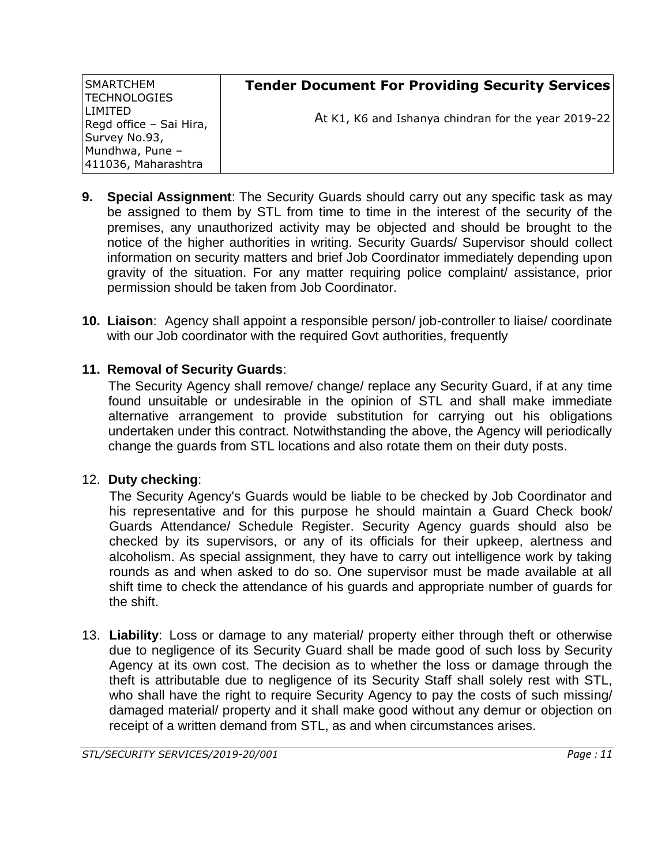| <b>SMARTCHEM</b><br> TECHNOLOGIES                       | <b>Tender Document For Providing Security Services</b> |
|---------------------------------------------------------|--------------------------------------------------------|
| LIMITED<br>Regd office - Sai Hira,                      | At K1, K6 and Ishanya chindran for the year 2019-22    |
| Survey No.93,<br>Mundhwa, Pune -<br>411036, Maharashtra |                                                        |

- **9. Special Assignment**: The Security Guards should carry out any specific task as may be assigned to them by STL from time to time in the interest of the security of the premises, any unauthorized activity may be objected and should be brought to the notice of the higher authorities in writing. Security Guards/ Supervisor should collect information on security matters and brief Job Coordinator immediately depending upon gravity of the situation. For any matter requiring police complaint/ assistance, prior permission should be taken from Job Coordinator.
- **10. Liaison**: Agency shall appoint a responsible person/ job-controller to liaise/ coordinate with our Job coordinator with the required Govt authorities, frequently

# **11. Removal of Security Guards**:

The Security Agency shall remove/ change/ replace any Security Guard, if at any time found unsuitable or undesirable in the opinion of STL and shall make immediate alternative arrangement to provide substitution for carrying out his obligations undertaken under this contract. Notwithstanding the above, the Agency will periodically change the guards from STL locations and also rotate them on their duty posts.

## 12. **Duty checking**:

The Security Agency's Guards would be liable to be checked by Job Coordinator and his representative and for this purpose he should maintain a Guard Check book/ Guards Attendance/ Schedule Register. Security Agency guards should also be checked by its supervisors, or any of its officials for their upkeep, alertness and alcoholism. As special assignment, they have to carry out intelligence work by taking rounds as and when asked to do so. One supervisor must be made available at all shift time to check the attendance of his guards and appropriate number of guards for the shift.

13. **Liability**: Loss or damage to any material/ property either through theft or otherwise due to negligence of its Security Guard shall be made good of such loss by Security Agency at its own cost. The decision as to whether the loss or damage through the theft is attributable due to negligence of its Security Staff shall solely rest with STL, who shall have the right to require Security Agency to pay the costs of such missing/ damaged material/ property and it shall make good without any demur or objection on receipt of a written demand from STL, as and when circumstances arises.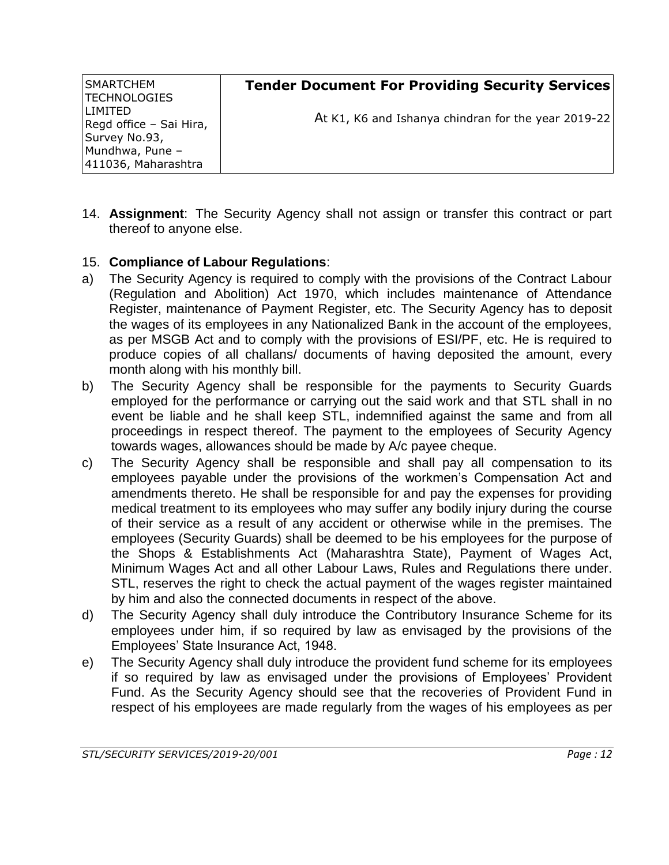| SMARTCHEM<br> TECHNOLOGIES                              | <b>Tender Document For Providing Security Services</b> |
|---------------------------------------------------------|--------------------------------------------------------|
| I I IMITED<br>Regd office - Sai Hira,                   | At K1, K6 and Ishanya chindran for the year 2019-22    |
| Survey No.93,<br>Mundhwa, Pune -<br>411036, Maharashtra |                                                        |

14. **Assignment**: The Security Agency shall not assign or transfer this contract or part thereof to anyone else.

#### 15. **Compliance of Labour Regulations**:

- a) The Security Agency is required to comply with the provisions of the Contract Labour (Regulation and Abolition) Act 1970, which includes maintenance of Attendance Register, maintenance of Payment Register, etc. The Security Agency has to deposit the wages of its employees in any Nationalized Bank in the account of the employees, as per MSGB Act and to comply with the provisions of ESI/PF, etc. He is required to produce copies of all challans/ documents of having deposited the amount, every month along with his monthly bill.
- b) The Security Agency shall be responsible for the payments to Security Guards employed for the performance or carrying out the said work and that STL shall in no event be liable and he shall keep STL, indemnified against the same and from all proceedings in respect thereof. The payment to the employees of Security Agency towards wages, allowances should be made by A/c payee cheque.
- c) The Security Agency shall be responsible and shall pay all compensation to its employees payable under the provisions of the workmen's Compensation Act and amendments thereto. He shall be responsible for and pay the expenses for providing medical treatment to its employees who may suffer any bodily injury during the course of their service as a result of any accident or otherwise while in the premises. The employees (Security Guards) shall be deemed to be his employees for the purpose of the Shops & Establishments Act (Maharashtra State), Payment of Wages Act, Minimum Wages Act and all other Labour Laws, Rules and Regulations there under. STL, reserves the right to check the actual payment of the wages register maintained by him and also the connected documents in respect of the above.
- d) The Security Agency shall duly introduce the Contributory Insurance Scheme for its employees under him, if so required by law as envisaged by the provisions of the Employees' State Insurance Act, 1948.
- e) The Security Agency shall duly introduce the provident fund scheme for its employees if so required by law as envisaged under the provisions of Employees' Provident Fund. As the Security Agency should see that the recoveries of Provident Fund in respect of his employees are made regularly from the wages of his employees as per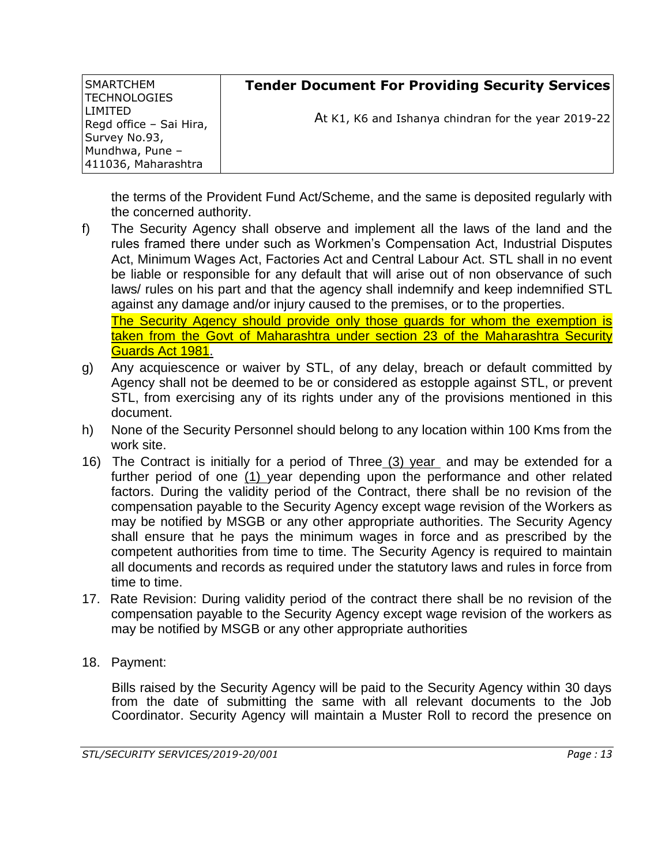| SMARTCHEM<br> TECHNOLOGIES                             | <b>Tender Document For Providing Security Services</b> |
|--------------------------------------------------------|--------------------------------------------------------|
| I I IMITED<br>Regd office - Sai Hira,<br>Survey No.93, | At K1, K6 and Ishanya chindran for the year 2019-22    |
| Mundhwa, Pune -<br>411036, Maharashtra                 |                                                        |

the terms of the Provident Fund Act/Scheme, and the same is deposited regularly with the concerned authority.

- f) The Security Agency shall observe and implement all the laws of the land and the rules framed there under such as Workmen's Compensation Act, Industrial Disputes Act, Minimum Wages Act, Factories Act and Central Labour Act. STL shall in no event be liable or responsible for any default that will arise out of non observance of such laws/ rules on his part and that the agency shall indemnify and keep indemnified STL against any damage and/or injury caused to the premises, or to the properties. The Security Agency should provide only those guards for whom the exemption is taken from the Govt of Maharashtra under section 23 of the Maharashtra Security Guards Act 1981.
- g) Any acquiescence or waiver by STL, of any delay, breach or default committed by Agency shall not be deemed to be or considered as estopple against STL, or prevent STL, from exercising any of its rights under any of the provisions mentioned in this document.
- h) None of the Security Personnel should belong to any location within 100 Kms from the work site.
- 16) The Contract is initially for a period of Three (3) year and may be extended for a further period of one (1) year depending upon the performance and other related factors. During the validity period of the Contract, there shall be no revision of the compensation payable to the Security Agency except wage revision of the Workers as may be notified by MSGB or any other appropriate authorities. The Security Agency shall ensure that he pays the minimum wages in force and as prescribed by the competent authorities from time to time. The Security Agency is required to maintain all documents and records as required under the statutory laws and rules in force from time to time.
- 17. Rate Revision: During validity period of the contract there shall be no revision of the compensation payable to the Security Agency except wage revision of the workers as may be notified by MSGB or any other appropriate authorities
- 18. Payment:

Bills raised by the Security Agency will be paid to the Security Agency within 30 days from the date of submitting the same with all relevant documents to the Job Coordinator. Security Agency will maintain a Muster Roll to record the presence on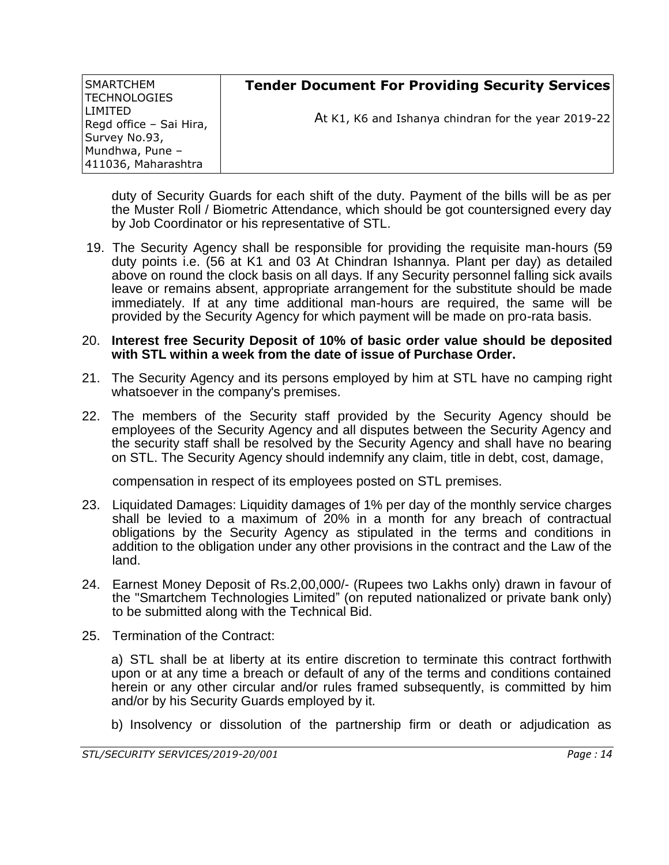| <b>SMARTCHEM</b><br> TECHNOLOGIES     | <b>Tender Document For Providing Security Services</b> |
|---------------------------------------|--------------------------------------------------------|
| I I IMITED<br>Regd office - Sai Hira, | At K1, K6 and Ishanya chindran for the year 2019-22    |
| Survey No.93,                         |                                                        |
| Mundhwa, Pune -                       |                                                        |
| 411036, Maharashtra                   |                                                        |

duty of Security Guards for each shift of the duty. Payment of the bills will be as per the Muster Roll / Biometric Attendance, which should be got countersigned every day by Job Coordinator or his representative of STL.

19. The Security Agency shall be responsible for providing the requisite man-hours (59 duty points i.e. (56 at K1 and 03 At Chindran Ishannya. Plant per day) as detailed above on round the clock basis on all days. If any Security personnel falling sick avails leave or remains absent, appropriate arrangement for the substitute should be made immediately. If at any time additional man-hours are required, the same will be provided by the Security Agency for which payment will be made on pro-rata basis.

#### 20. **Interest free Security Deposit of 10% of basic order value should be deposited with STL within a week from the date of issue of Purchase Order.**

- 21. The Security Agency and its persons employed by him at STL have no camping right whatsoever in the company's premises.
- 22. The members of the Security staff provided by the Security Agency should be employees of the Security Agency and all disputes between the Security Agency and the security staff shall be resolved by the Security Agency and shall have no bearing on STL. The Security Agency should indemnify any claim, title in debt, cost, damage,

compensation in respect of its employees posted on STL premises.

- 23. Liquidated Damages: Liquidity damages of 1% per day of the monthly service charges shall be levied to a maximum of 20% in a month for any breach of contractual obligations by the Security Agency as stipulated in the terms and conditions in addition to the obligation under any other provisions in the contract and the Law of the land.
- 24. Earnest Money Deposit of Rs.2,00,000/- (Rupees two Lakhs only) drawn in favour of the "Smartchem Technologies Limited" (on reputed nationalized or private bank only) to be submitted along with the Technical Bid.
- 25. Termination of the Contract:

a) STL shall be at liberty at its entire discretion to terminate this contract forthwith upon or at any time a breach or default of any of the terms and conditions contained herein or any other circular and/or rules framed subsequently, is committed by him and/or by his Security Guards employed by it.

b) Insolvency or dissolution of the partnership firm or death or adjudication as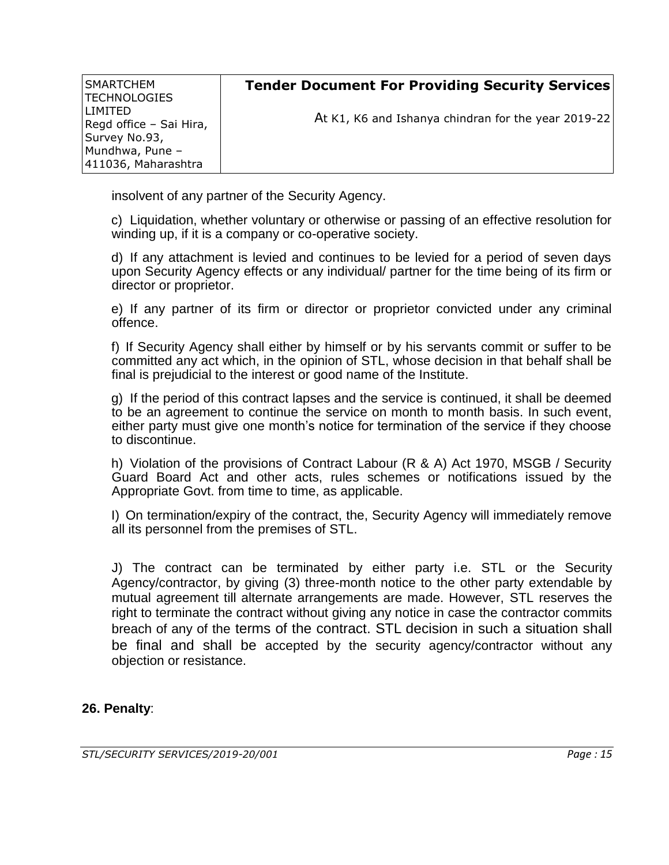| SMARTCHEM<br> TECHNOLOGIES         | <b>Tender Document For Providing Security Services</b> |
|------------------------------------|--------------------------------------------------------|
| LIMITED<br>Regd office - Sai Hira, | At K1, K6 and Ishanya chindran for the year 2019-22    |
| Survey No.93,                      |                                                        |
| Mundhwa, Pune -                    |                                                        |
| 411036, Maharashtra                |                                                        |

insolvent of any partner of the Security Agency.

c) Liquidation, whether voluntary or otherwise or passing of an effective resolution for winding up, if it is a company or co-operative society.

d) If any attachment is levied and continues to be levied for a period of seven days upon Security Agency effects or any individual/ partner for the time being of its firm or director or proprietor.

e) If any partner of its firm or director or proprietor convicted under any criminal offence.

f) If Security Agency shall either by himself or by his servants commit or suffer to be committed any act which, in the opinion of STL, whose decision in that behalf shall be final is prejudicial to the interest or good name of the Institute.

g) If the period of this contract lapses and the service is continued, it shall be deemed to be an agreement to continue the service on month to month basis. In such event, either party must give one month's notice for termination of the service if they choose to discontinue.

h) Violation of the provisions of Contract Labour (R & A) Act 1970, MSGB / Security Guard Board Act and other acts, rules schemes or notifications issued by the Appropriate Govt. from time to time, as applicable.

I) On termination/expiry of the contract, the, Security Agency will immediately remove all its personnel from the premises of STL.

J) The contract can be terminated by either party i.e. STL or the Security Agency/contractor, by giving (3) three-month notice to the other party extendable by mutual agreement till alternate arrangements are made. However, STL reserves the right to terminate the contract without giving any notice in case the contractor commits breach of any of the terms of the contract. STL decision in such a situation shall be final and shall be accepted by the security agency/contractor without any objection or resistance.

#### **26. Penalty**: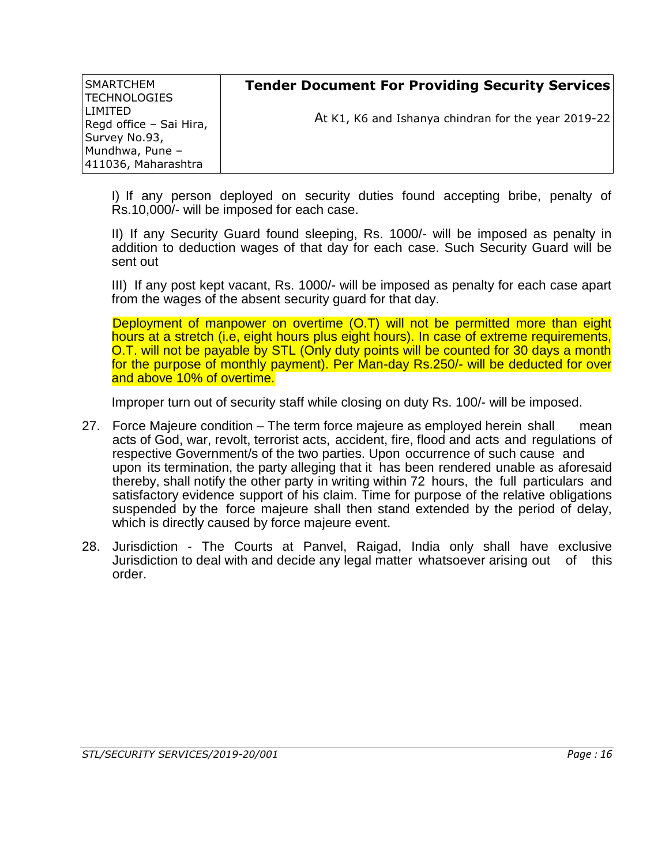| <b>SMARTCHEM</b><br> TECHNOLOGIES                       | <b>Tender Document For Providing Security Services</b> |
|---------------------------------------------------------|--------------------------------------------------------|
| LIMITED<br>Regd office - Sai Hira,                      | At K1, K6 and Ishanya chindran for the year 2019-22    |
| Survey No.93,<br>Mundhwa, Pune -<br>411036, Maharashtra |                                                        |

I) If any person deployed on security duties found accepting bribe, penalty of Rs.10,000/- will be imposed for each case.

II) If any Security Guard found sleeping, Rs. 1000/- will be imposed as penalty in addition to deduction wages of that day for each case. Such Security Guard will be sent out

III) If any post kept vacant, Rs. 1000/- will be imposed as penalty for each case apart from the wages of the absent security guard for that day.

Deployment of manpower on overtime (O.T) will not be permitted more than eight hours at a stretch (i.e, eight hours plus eight hours). In case of extreme requirements, O.T. will not be payable by STL (Only duty points will be counted for 30 days a month for the purpose of monthly payment). Per Man-day Rs.250/- will be deducted for over and above 10% of overtime.

Improper turn out of security staff while closing on duty Rs. 100/- will be imposed.

- 27. Force Majeure condition The term force majeure as employed herein shall mean acts of God, war, revolt, terrorist acts, accident, fire, flood and acts and regulations of respective Government/s of the two parties. Upon occurrence of such cause and upon its termination, the party alleging that it has been rendered unable as aforesaid thereby, shall notify the other party in writing within 72 hours, the full particulars and satisfactory evidence support of his claim. Time for purpose of the relative obligations suspended by the force majeure shall then stand extended by the period of delay, which is directly caused by force majeure event.
- 28. Jurisdiction The Courts at Panvel, Raigad, India only shall have exclusive Jurisdiction to deal with and decide any legal matter whatsoever arising out of this order.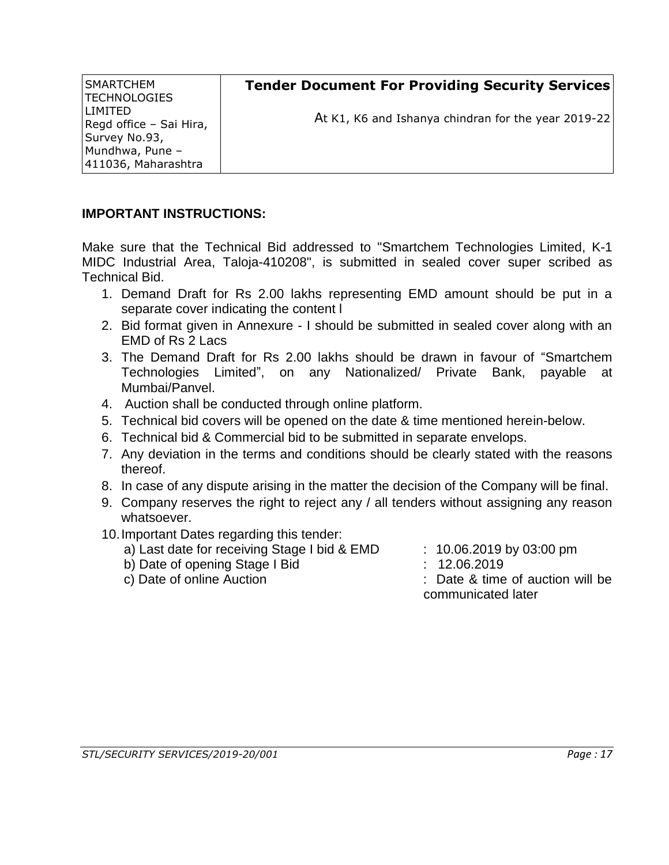**SMARTCHEM** TECHNOLOGIES LIMITED Regd office – Sai Hira, Survey No.93, Mundhwa, Pune – 411036, Maharashtra

At K1, K6 and Ishanya chindran for the year 2019-22

## **IMPORTANT INSTRUCTIONS:**

Make sure that the Technical Bid addressed to "Smartchem Technologies Limited, K-1 MIDC Industrial Area, Taloja-410208", is submitted in sealed cover super scribed as Technical Bid.

- 1. Demand Draft for Rs 2.00 lakhs representing EMD amount should be put in a separate cover indicating the content l
- 2. Bid format given in Annexure I should be submitted in sealed cover along with an EMD of Rs 2 Lacs
- 3. The Demand Draft for Rs 2.00 lakhs should be drawn in favour of "Smartchem Technologies Limited", on any Nationalized/ Private Bank, payable at Mumbai/Panvel.
- 4. Auction shall be conducted through online platform.
- 5. Technical bid covers will be opened on the date & time mentioned herein-below.
- 6. Technical bid & Commercial bid to be submitted in separate envelops.
- 7. Any deviation in the terms and conditions should be clearly stated with the reasons thereof.
- 8. In case of any dispute arising in the matter the decision of the Company will be final.
- 9. Company reserves the right to reject any / all tenders without assigning any reason whatsoever.
- 10.Important Dates regarding this tender:
	- a) Last date for receiving Stage I bid & EMD : 10.06.2019 by 03:00 pm
	- b) Date of opening Stage I Bid : 12.06.2019
	-
- 
- 
- c) Date of online Auction : Date & time of auction will be communicated later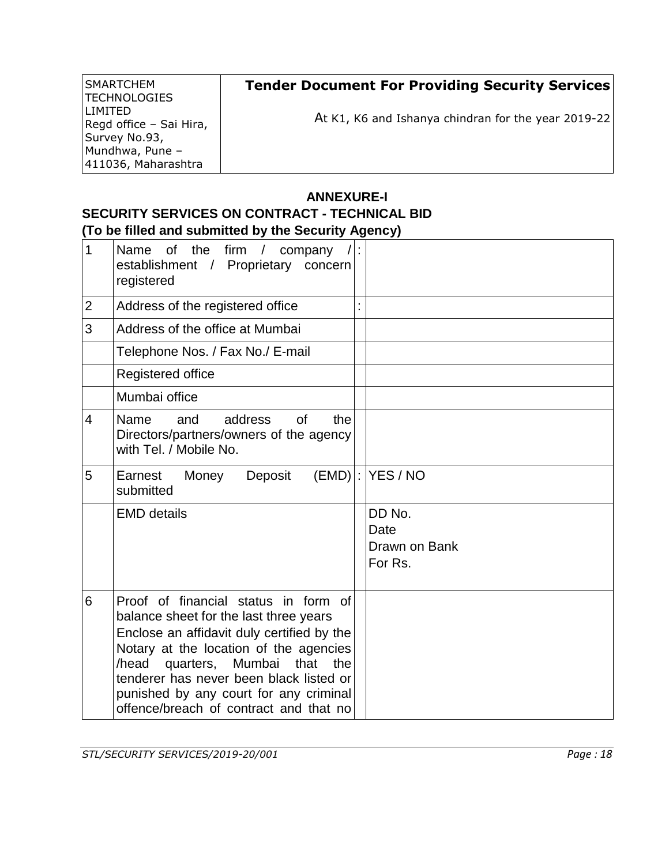| SMARTCHEM               | <b>Tender Document For Providing Security Services</b> |
|-------------------------|--------------------------------------------------------|
| TECHNOLOGIES            |                                                        |
| <b>LIMITED</b>          | At K1, K6 and Ishanya chindran for the year 2019-22    |
| Regd office - Sai Hira, |                                                        |
| Survey No.93,           |                                                        |
| Mundhwa, Pune -         |                                                        |
| 411036, Maharashtra     |                                                        |

### **ANNEXURE-I SECURITY SERVICES ON CONTRACT - TECHNICAL BID (To be filled and submitted by the Security Agency)**

| 1              | Name of the firm / company $/ $ :<br>establishment / Proprietary<br>concern<br>registered                                                                                                                                                                                                                                                         |                                            |
|----------------|---------------------------------------------------------------------------------------------------------------------------------------------------------------------------------------------------------------------------------------------------------------------------------------------------------------------------------------------------|--------------------------------------------|
| $\overline{2}$ | Address of the registered office                                                                                                                                                                                                                                                                                                                  |                                            |
| 3              | Address of the office at Mumbai                                                                                                                                                                                                                                                                                                                   |                                            |
|                | Telephone Nos. / Fax No./ E-mail                                                                                                                                                                                                                                                                                                                  |                                            |
|                | Registered office                                                                                                                                                                                                                                                                                                                                 |                                            |
|                | Mumbai office                                                                                                                                                                                                                                                                                                                                     |                                            |
| $\overline{4}$ | address<br>the<br>Name<br>and<br><b>of</b><br>Directors/partners/owners of the agency<br>with Tel. / Mobile No.                                                                                                                                                                                                                                   |                                            |
| 5              | Earnest<br>Deposit<br>Money<br>submitted                                                                                                                                                                                                                                                                                                          | $(EMD)$ : YES / NO                         |
|                | <b>EMD details</b>                                                                                                                                                                                                                                                                                                                                | DD No.<br>Date<br>Drawn on Bank<br>For Rs. |
| 6              | Proof of financial status in form of<br>balance sheet for the last three years<br>Enclose an affidavit duly certified by the<br>Notary at the location of the agencies<br>quarters, Mumbai<br>that<br>/head<br>the<br>tenderer has never been black listed or<br>punished by any court for any criminal<br>offence/breach of contract and that no |                                            |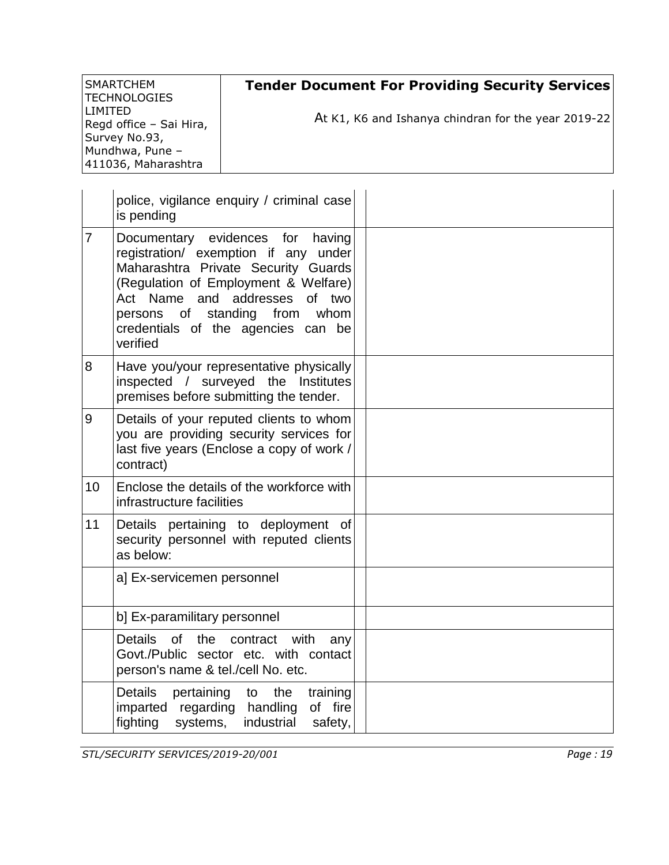| SMARTCHEM<br> TECHNOLOGIES            | <b>Tender Document For Providing Security Services</b> |
|---------------------------------------|--------------------------------------------------------|
| I I IMITED<br>Regd office - Sai Hira, | At K1, K6 and Ishanya chindran for the year 2019-22    |
| Survey No.93,                         |                                                        |
| Mundhwa, Pune -                       |                                                        |
| 411036, Maharashtra                   |                                                        |

|                | police, vigilance enquiry / criminal case<br>is pending                                                                                                                                                                                                                                 |  |
|----------------|-----------------------------------------------------------------------------------------------------------------------------------------------------------------------------------------------------------------------------------------------------------------------------------------|--|
| $\overline{7}$ | Documentary evidences for<br>having<br>registration/ exemption if any under<br>Maharashtra Private Security Guards<br>(Regulation of Employment & Welfare)<br>Act Name and addresses<br>of two<br>persons of<br>standing from<br>whom<br>credentials of the agencies can be<br>verified |  |
| 8              | Have you/your representative physically<br>inspected / surveyed the Institutes<br>premises before submitting the tender.                                                                                                                                                                |  |
| 9              | Details of your reputed clients to whom<br>you are providing security services for<br>last five years (Enclose a copy of work /<br>contract)                                                                                                                                            |  |
| 10             | Enclose the details of the workforce with<br>infrastructure facilities                                                                                                                                                                                                                  |  |
| 11             | Details pertaining to deployment of<br>security personnel with reputed clients<br>as below:                                                                                                                                                                                             |  |
|                | a] Ex-servicemen personnel                                                                                                                                                                                                                                                              |  |
|                | b] Ex-paramilitary personnel                                                                                                                                                                                                                                                            |  |
|                | of l<br><b>Details</b><br>the<br>contract<br>with<br>any<br>Govt./Public sector etc. with contact<br>person's name & tel./cell No. etc.                                                                                                                                                 |  |
|                | <b>Details</b><br>pertaining<br>the<br>training<br>to<br>imparted<br>regarding handling<br>of fire<br>fighting<br>industrial<br>systems,<br>safety,                                                                                                                                     |  |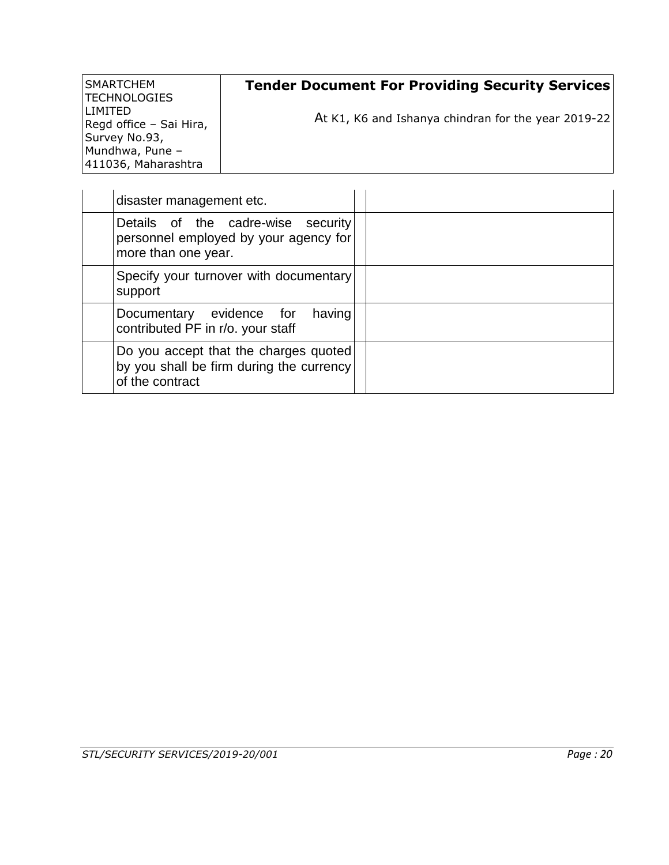| SMARTCHEM<br> TECHNOLOGIES                | <b>Tender Document For Providing Security Services</b> |
|-------------------------------------------|--------------------------------------------------------|
| <b>LIMITED</b><br>Regd office - Sai Hira, | At K1, K6 and Ishanya chindran for the year 2019-22    |
| Survey No.93,                             |                                                        |
| Mundhwa, Pune -                           |                                                        |
| 411036, Maharashtra                       |                                                        |

| disaster management etc.                                                                             |  |
|------------------------------------------------------------------------------------------------------|--|
| Details of the cadre-wise security<br>personnel employed by your agency for<br>more than one year.   |  |
| Specify your turnover with documentary<br>support                                                    |  |
| Documentary evidence for<br>having<br>contributed PF in r/o. your staff                              |  |
| Do you accept that the charges quoted<br>by you shall be firm during the currency<br>of the contract |  |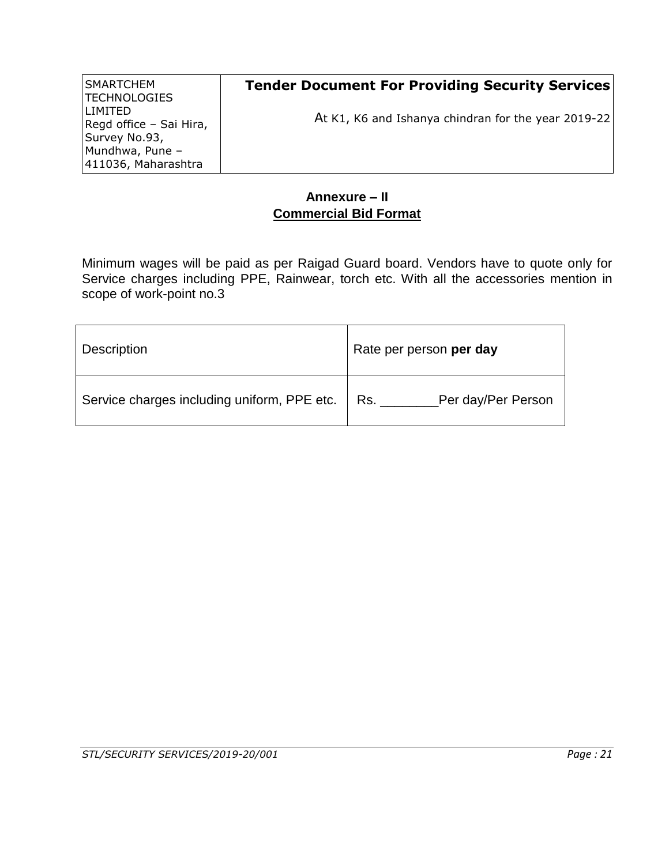| SMARTCHEM<br> TECHNOLOGIES                | <b>Tender Document For Providing Security Services</b> |
|-------------------------------------------|--------------------------------------------------------|
| <b>LIMITED</b><br>Regd office - Sai Hira, | At K1, K6 and Ishanya chindran for the year 2019-22    |
| Survey No.93,                             |                                                        |
| Mundhwa, Pune -<br>411036, Maharashtra    |                                                        |

# **Annexure – II Commercial Bid Format**

Minimum wages will be paid as per Raigad Guard board. Vendors have to quote only for Service charges including PPE, Rainwear, torch etc. With all the accessories mention in scope of work-point no.3

| <b>Description</b>                                | Rate per person per day |
|---------------------------------------------------|-------------------------|
| Service charges including uniform, PPE etc.   Rs. | Per day/Per Person      |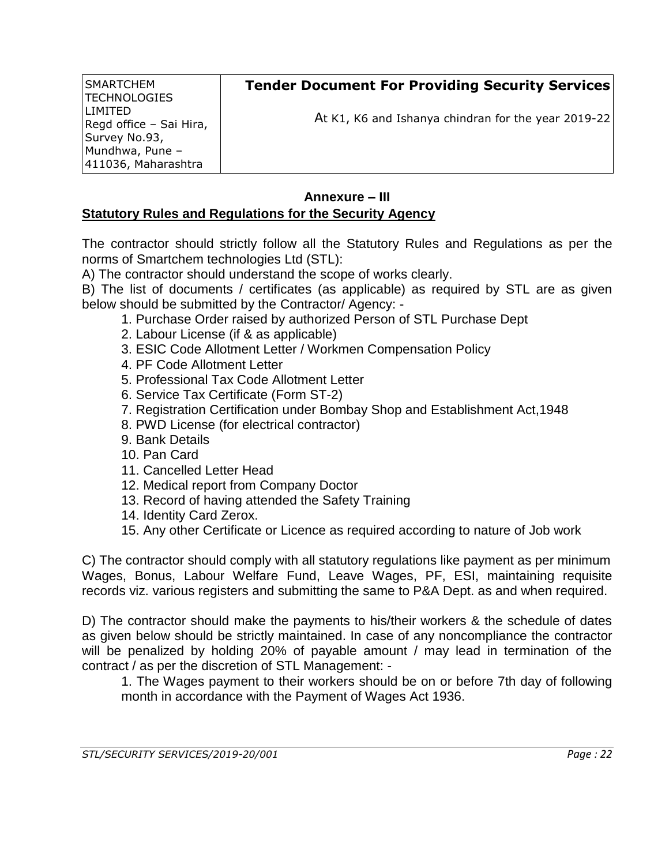| SMARTCHEM<br>  TECHNOLOGIES | <b>Tender Document For Providing Security Services</b> |
|-----------------------------|--------------------------------------------------------|
| LIMITED                     |                                                        |
| Regd office - Sai Hira,     | At K1, K6 and Ishanya chindran for the year 2019-22    |
| Survey No.93,               |                                                        |
| Mundhwa, Pune -             |                                                        |
| 411036, Maharashtra         |                                                        |

# **Annexure – III**

## **Statutory Rules and Regulations for the Security Agency**

The contractor should strictly follow all the Statutory Rules and Regulations as per the norms of Smartchem technologies Ltd (STL):

A) The contractor should understand the scope of works clearly.

B) The list of documents / certificates (as applicable) as required by STL are as given below should be submitted by the Contractor/ Agency: -

- 1. Purchase Order raised by authorized Person of STL Purchase Dept
- 2. Labour License (if & as applicable)
- 3. ESIC Code Allotment Letter / Workmen Compensation Policy
- 4. PF Code Allotment Letter
- 5. Professional Tax Code Allotment Letter
- 6. Service Tax Certificate (Form ST-2)
- 7. Registration Certification under Bombay Shop and Establishment Act,1948
- 8. PWD License (for electrical contractor)
- 9. Bank Details
- 10. Pan Card
- 11. Cancelled Letter Head
- 12. Medical report from Company Doctor
- 13. Record of having attended the Safety Training
- 14. Identity Card Zerox.
- 15. Any other Certificate or Licence as required according to nature of Job work

C) The contractor should comply with all statutory regulations like payment as per minimum Wages, Bonus, Labour Welfare Fund, Leave Wages, PF, ESI, maintaining requisite records viz. various registers and submitting the same to P&A Dept. as and when required.

D) The contractor should make the payments to his/their workers & the schedule of dates as given below should be strictly maintained. In case of any noncompliance the contractor will be penalized by holding 20% of payable amount / may lead in termination of the contract / as per the discretion of STL Management: -

1. The Wages payment to their workers should be on or before 7th day of following month in accordance with the Payment of Wages Act 1936.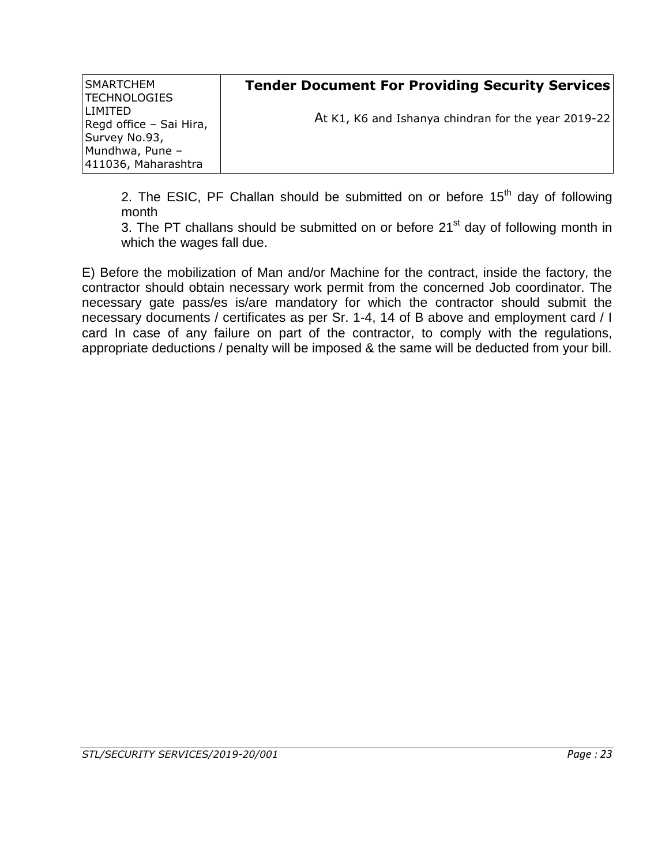| SMARTCHEM<br> TECHNOLOGIES                                 | <b>Tender Document For Providing Security Services</b> |
|------------------------------------------------------------|--------------------------------------------------------|
| <b>LIMITED</b><br>Regd office - Sai Hira,<br>Survey No.93, | At K1, K6 and Ishanya chindran for the year 2019-22    |
| Mundhwa, Pune -<br>411036, Maharashtra                     |                                                        |

2. The ESIC, PF Challan should be submitted on or before  $15<sup>th</sup>$  day of following month

3. The PT challans should be submitted on or before  $21<sup>st</sup>$  day of following month in which the wages fall due.

E) Before the mobilization of Man and/or Machine for the contract, inside the factory, the contractor should obtain necessary work permit from the concerned Job coordinator. The necessary gate pass/es is/are mandatory for which the contractor should submit the necessary documents / certificates as per Sr. 1-4, 14 of B above and employment card / I card In case of any failure on part of the contractor, to comply with the regulations, appropriate deductions / penalty will be imposed & the same will be deducted from your bill.